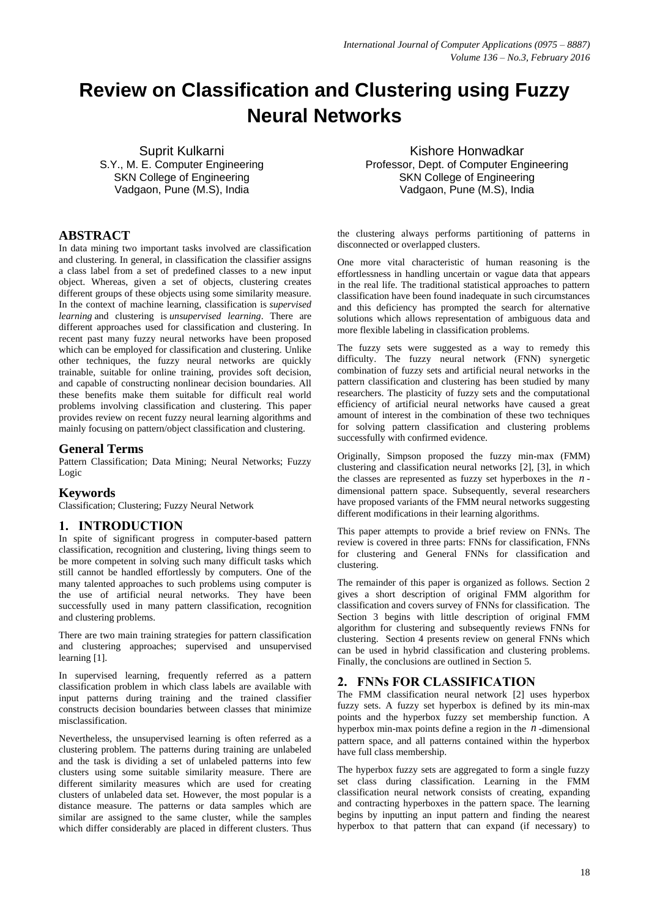# **Review on Classification and Clustering using Fuzzy Neural Networks**

Suprit Kulkarni S.Y., M. E. Computer Engineering SKN College of Engineering Vadgaon, Pune (M.S), India

# **ABSTRACT**

In data mining two important tasks involved are classification and clustering. In general, in classification the classifier assigns a class label from a set of predefined classes to a new input object. Whereas, given a set of objects, clustering creates different groups of these objects using some similarity measure. In the context of machine learning, classification is *[supervised](http://en.wikipedia.org/wiki/Supervised_learning) [learning](http://en.wikipedia.org/wiki/Supervised_learning)* and clustering is *[unsupervised](http://en.wikipedia.org/wiki/Unsupervised_learning) learning*. There are different approaches used for classification and clustering. In recent past many fuzzy neural networks have been proposed which can be employed for classification and clustering. Unlike other techniques, the fuzzy neural networks are quickly trainable, suitable for online training, provides soft decision, and capable of constructing nonlinear decision boundaries. All these benefits make them suitable for difficult real world problems involving classification and clustering. This paper provides review on recent fuzzy neural learning algorithms and mainly focusing on pattern/object classification and clustering.

### **General Terms**

Pattern Classification; Data Mining; Neural Networks; Fuzzy Logic

### **Keywords**

Classification; Clustering; Fuzzy Neural Network

### **1. INTRODUCTION**

In spite of significant progress in computer-based pattern classification, recognition and clustering, living things seem to be more competent in solving such many difficult tasks which still cannot be handled effortlessly by computers. One of the many talented approaches to such problems using computer is the use of artificial neural networks. They have been successfully used in many pattern classification, recognition and clustering problems.

There are two main training strategies for pattern classification and clustering approaches; supervised and unsupervised learning [1].

In supervised learning, frequently referred as a pattern classification problem in which class labels are available with input patterns during training and the trained classifier constructs decision boundaries between classes that minimize misclassification.

Nevertheless, the unsupervised learning is often referred as a clustering problem. The patterns during training are unlabeled and the task is dividing a set of unlabeled patterns into few clusters using some suitable similarity measure. There are different similarity measures which are used for creating clusters of unlabeled data set. However, the most popular is a distance measure. The patterns or data samples which are similar are assigned to the same cluster, while the samples which differ considerably are placed in different clusters. Thus

Kishore Honwadkar Professor, Dept. of Computer Engineering SKN College of Engineering Vadgaon, Pune (M.S), India

the clustering always performs partitioning of patterns in disconnected or overlapped clusters.

One more vital characteristic of human reasoning is the effortlessness in handling uncertain or vague data that appears in the real life. The traditional statistical approaches to pattern classification have been found inadequate in such circumstances and this deficiency has prompted the search for alternative solutions which allows representation of ambiguous data and more flexible labeling in classification problems.

The fuzzy sets were suggested as a way to remedy this difficulty. The fuzzy neural network (FNN) synergetic combination of fuzzy sets and artificial neural networks in the pattern classification and clustering has been studied by many researchers. The plasticity of fuzzy sets and the computational efficiency of artificial neural networks have caused a great amount of interest in the combination of these two techniques for solving pattern classification and clustering problems successfully with confirmed evidence.

Originally, Simpson proposed the fuzzy min-max (FMM) clustering and classification neural networks [2], [3], in which the classes are represented as fuzzy set hyperboxes in the  $n$ dimensional pattern space. Subsequently, several researchers have proposed variants of the FMM neural networks suggesting different modifications in their learning algorithms.

This paper attempts to provide a brief review on FNNs. The review is covered in three parts: FNNs for classification, FNNs for clustering and General FNNs for classification and clustering.

The remainder of this paper is organized as follows. Section 2 gives a short description of original FMM algorithm for classification and covers survey of FNNs for classification. The Section 3 begins with little description of original FMM algorithm for clustering and subsequently reviews FNNs for clustering. Section 4 presents review on general FNNs which can be used in hybrid classification and clustering problems. Finally, the conclusions are outlined in Section 5.

# **2. FNNs FOR CLASSIFICATION**

The FMM classification neural network [2] uses hyperbox fuzzy sets. A fuzzy set hyperbox is defined by its min-max points and the hyperbox fuzzy set membership function. A hyperbox min-max points define a region in the *n* -dimensional pattern space, and all patterns contained within the hyperbox have full class membership.

The hyperbox fuzzy sets are aggregated to form a single fuzzy set class during classification. Learning in the FMM classification neural network consists of creating, expanding and contracting hyperboxes in the pattern space. The learning begins by inputting an input pattern and finding the nearest hyperbox to that pattern that can expand (if necessary) to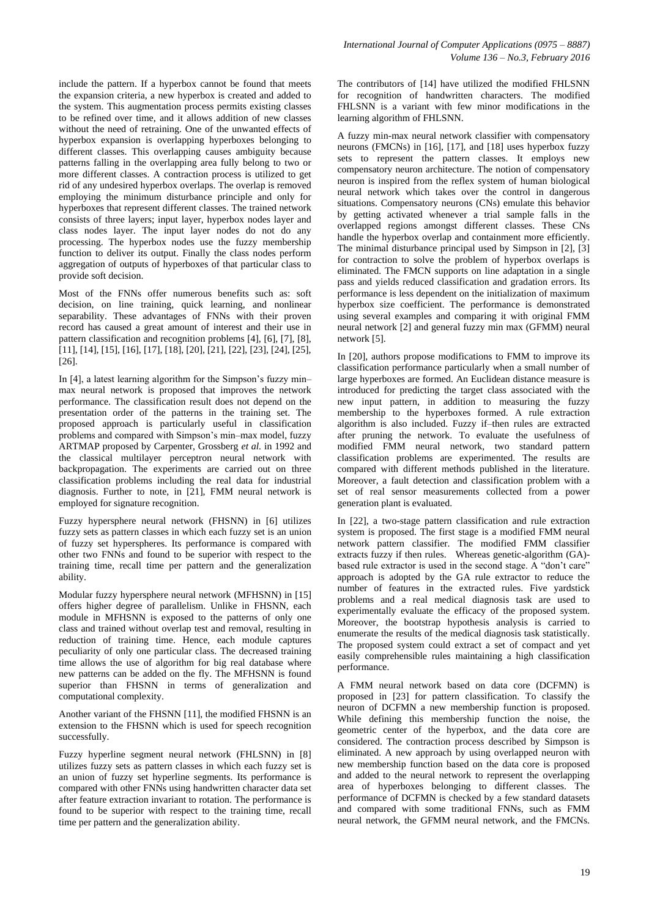include the pattern. If a hyperbox cannot be found that meets the expansion criteria, a new hyperbox is created and added to the system. This augmentation process permits existing classes to be refined over time, and it allows addition of new classes without the need of retraining. One of the unwanted effects of hyperbox expansion is overlapping hyperboxes belonging to different classes. This overlapping causes ambiguity because patterns falling in the overlapping area fully belong to two or more different classes. A contraction process is utilized to get rid of any undesired hyperbox overlaps. The overlap is removed employing the minimum disturbance principle and only for hyperboxes that represent different classes. The trained network consists of three layers; input layer, hyperbox nodes layer and class nodes layer. The input layer nodes do not do any processing. The hyperbox nodes use the fuzzy membership function to deliver its output. Finally the class nodes perform aggregation of outputs of hyperboxes of that particular class to provide soft decision.

Most of the FNNs offer numerous benefits such as: soft decision, on line training, quick learning, and nonlinear separability. These advantages of FNNs with their proven record has caused a great amount of interest and their use in pattern classification and recognition problems [4], [6], [7], [8], [11], [14], [15], [16], [17], [18], [20], [21], [22], [23], [24], [25], [26].

In [4], a latest learning algorithm for the Simpson's fuzzy min– max neural network is proposed that improves the network performance. The classification result does not depend on the presentation order of the patterns in the training set. The proposed approach is particularly useful in classification problems and compared with Simpson"s min–max model, fuzzy ARTMAP proposed by Carpenter, Grossberg *et al.* in 1992 and the classical multilayer perceptron neural network with backpropagation. The experiments are carried out on three classification problems including the real data for industrial diagnosis. Further to note, in [21], FMM neural network is employed for signature recognition.

Fuzzy hypersphere neural network (FHSNN) in [6] utilizes fuzzy sets as pattern classes in which each fuzzy set is an union of fuzzy set hyperspheres. Its performance is compared with other two FNNs and found to be superior with respect to the training time, recall time per pattern and the generalization ability.

Modular fuzzy hypersphere neural network (MFHSNN) in [15] offers higher degree of parallelism. Unlike in FHSNN, each module in MFHSNN is exposed to the patterns of only one class and trained without overlap test and removal, resulting in reduction of training time. Hence, each module captures peculiarity of only one particular class. The decreased training time allows the use of algorithm for big real database where new patterns can be added on the fly. The MFHSNN is found superior than FHSNN in terms of generalization and computational complexity.

Another variant of the FHSNN [11], the modified FHSNN is an extension to the FHSNN which is used for speech recognition successfully.

Fuzzy hyperline segment neural network (FHLSNN) in [8] utilizes fuzzy sets as pattern classes in which each fuzzy set is an union of fuzzy set hyperline segments. Its performance is compared with other FNNs using handwritten character data set after feature extraction invariant to rotation. The performance is found to be superior with respect to the training time, recall time per pattern and the generalization ability.

The contributors of [14] have utilized the modified FHLSNN for recognition of handwritten characters. The modified FHLSNN is a variant with few minor modifications in the learning algorithm of FHLSNN.

A fuzzy min-max neural network classifier with compensatory neurons (FMCNs) in [16], [17], and [18] uses hyperbox fuzzy sets to represent the pattern classes. It employs new compensatory neuron architecture. The notion of compensatory neuron is inspired from the reflex system of human biological neural network which takes over the control in dangerous situations. Compensatory neurons (CNs) emulate this behavior by getting activated whenever a trial sample falls in the overlapped regions amongst different classes. These CNs handle the hyperbox overlap and containment more efficiently. The minimal disturbance principal used by Simpson in [2], [3] for contraction to solve the problem of hyperbox overlaps is eliminated. The FMCN supports on line adaptation in a single pass and yields reduced classification and gradation errors. Its performance is less dependent on the initialization of maximum hyperbox size coefficient. The performance is demonstrated using several examples and comparing it with original FMM neural network [2] and general fuzzy min max (GFMM) neural network [5].

In [20], authors propose modifications to FMM to improve its classification performance particularly when a small number of large hyperboxes are formed. An Euclidean distance measure is introduced for predicting the target class associated with the new input pattern, in addition to measuring the fuzzy membership to the hyperboxes formed. A rule extraction algorithm is also included. Fuzzy if–then rules are extracted after pruning the network. To evaluate the usefulness of modified FMM neural network, two standard pattern classification problems are experimented. The results are compared with different methods published in the literature. Moreover, a fault detection and classification problem with a set of real sensor measurements collected from a power generation plant is evaluated.

In [22], a two-stage pattern classification and rule extraction system is proposed. The first stage is a modified FMM neural network pattern classifier. The modified FMM classifier extracts fuzzy if then rules. Whereas genetic-algorithm (GA)based rule extractor is used in the second stage. A "don't care" approach is adopted by the GA rule extractor to reduce the number of features in the extracted rules. Five yardstick problems and a real medical diagnosis task are used to experimentally evaluate the efficacy of the proposed system. Moreover, the bootstrap hypothesis analysis is carried to enumerate the results of the medical diagnosis task statistically. The proposed system could extract a set of compact and yet easily comprehensible rules maintaining a high classification performance.

A FMM neural network based on data core (DCFMN) is proposed in [23] for pattern classification. To classify the neuron of DCFMN a new membership function is proposed. While defining this membership function the noise, the geometric center of the hyperbox, and the data core are considered. The contraction process described by Simpson is eliminated. A new approach by using overlapped neuron with new membership function based on the data core is proposed and added to the neural network to represent the overlapping area of hyperboxes belonging to different classes. The performance of DCFMN is checked by a few standard datasets and compared with some traditional FNNs, such as FMM neural network, the GFMM neural network, and the FMCNs.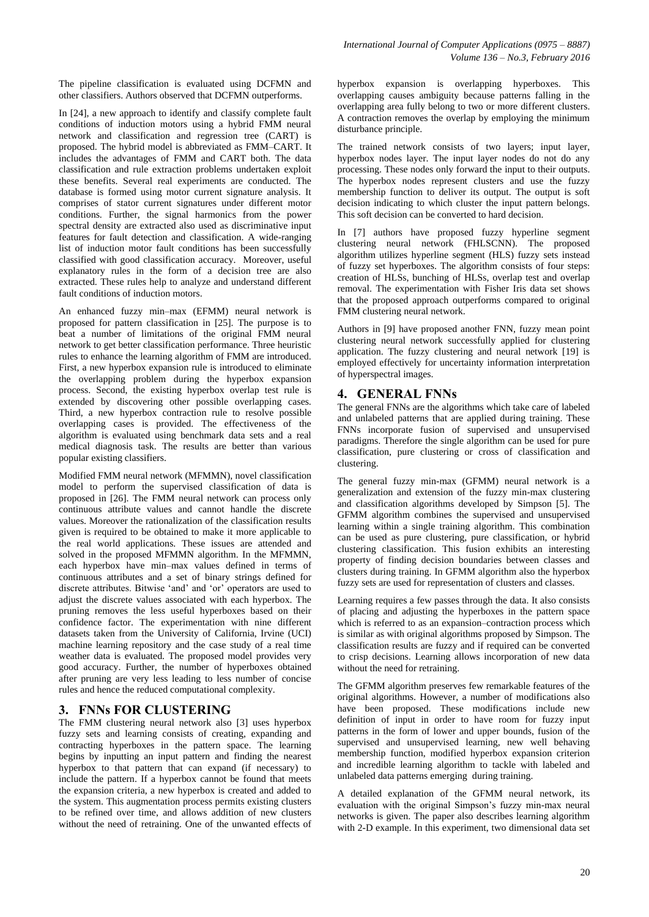The pipeline classification is evaluated using DCFMN and other classifiers. Authors observed that DCFMN outperforms.

In [24], a new approach to identify and classify complete fault conditions of induction motors using a hybrid FMM neural network and classification and regression tree (CART) is proposed. The hybrid model is abbreviated as FMM–CART. It includes the advantages of FMM and CART both. The data classification and rule extraction problems undertaken exploit these benefits. Several real experiments are conducted. The database is formed using motor current signature analysis. It comprises of stator current signatures under different motor conditions. Further, the signal harmonics from the power spectral density are extracted also used as discriminative input features for fault detection and classification. A wide-ranging list of induction motor fault conditions has been successfully classified with good classification accuracy. Moreover, useful explanatory rules in the form of a decision tree are also extracted. These rules help to analyze and understand different fault conditions of induction motors.

An enhanced fuzzy min–max (EFMM) neural network is proposed for pattern classification in [25]. The purpose is to beat a number of limitations of the original FMM neural network to get better classification performance. Three heuristic rules to enhance the learning algorithm of FMM are introduced. First, a new hyperbox expansion rule is introduced to eliminate the overlapping problem during the hyperbox expansion process. Second, the existing hyperbox overlap test rule is extended by discovering other possible overlapping cases. Third, a new hyperbox contraction rule to resolve possible overlapping cases is provided. The effectiveness of the algorithm is evaluated using benchmark data sets and a real medical diagnosis task. The results are better than various popular existing classifiers.

Modified FMM neural network (MFMMN), novel classification model to perform the supervised classification of data is proposed in [26]. The FMM neural network can process only continuous attribute values and cannot handle the discrete values. Moreover the rationalization of the classification results given is required to be obtained to make it more applicable to the real world applications. These issues are attended and solved in the proposed MFMMN algorithm. In the MFMMN, each hyperbox have min–max values defined in terms of continuous attributes and a set of binary strings defined for discrete attributes. Bitwise "and" and "or" operators are used to adjust the discrete values associated with each hyperbox. The pruning removes the less useful hyperboxes based on their confidence factor. The experimentation with nine different datasets taken from the University of California, Irvine (UCI) machine learning repository and the case study of a real time weather data is evaluated. The proposed model provides very good accuracy. Further, the number of hyperboxes obtained after pruning are very less leading to less number of concise rules and hence the reduced computational complexity.

### **3. FNNs FOR CLUSTERING**

The FMM clustering neural network also [3] uses hyperbox fuzzy sets and learning consists of creating, expanding and contracting hyperboxes in the pattern space. The learning begins by inputting an input pattern and finding the nearest hyperbox to that pattern that can expand (if necessary) to include the pattern. If a hyperbox cannot be found that meets the expansion criteria, a new hyperbox is created and added to the system. This augmentation process permits existing clusters to be refined over time, and allows addition of new clusters without the need of retraining. One of the unwanted effects of hyperbox expansion is overlapping hyperboxes. This overlapping causes ambiguity because patterns falling in the overlapping area fully belong to two or more different clusters. A contraction removes the overlap by employing the minimum disturbance principle.

The trained network consists of two layers; input layer, hyperbox nodes layer. The input layer nodes do not do any processing. These nodes only forward the input to their outputs. The hyperbox nodes represent clusters and use the fuzzy membership function to deliver its output. The output is soft decision indicating to which cluster the input pattern belongs. This soft decision can be converted to hard decision.

In [7] authors have proposed fuzzy hyperline segment clustering neural network (FHLSCNN). The proposed algorithm utilizes hyperline segment (HLS) fuzzy sets instead of fuzzy set hyperboxes. The algorithm consists of four steps: creation of HLSs, bunching of HLSs, overlap test and overlap removal. The experimentation with Fisher Iris data set shows that the proposed approach outperforms compared to original FMM clustering neural network.

Authors in [9] have proposed another FNN, fuzzy mean point clustering neural network successfully applied for clustering application. The fuzzy clustering and neural network [19] is employed effectively for uncertainty information interpretation of hyperspectral images.

# **4. GENERAL FNNs**

The general FNNs are the algorithms which take care of labeled and unlabeled patterns that are applied during training. These FNNs incorporate fusion of supervised and unsupervised paradigms. Therefore the single algorithm can be used for pure classification, pure clustering or cross of classification and clustering.

The general fuzzy min-max (GFMM) neural network is a generalization and extension of the fuzzy min-max clustering and classification algorithms developed by Simpson [5]. The GFMM algorithm combines the supervised and unsupervised learning within a single training algorithm. This combination can be used as pure clustering, pure classification, or hybrid clustering classification. This fusion exhibits an interesting property of finding decision boundaries between classes and clusters during training. In GFMM algorithm also the hyperbox fuzzy sets are used for representation of clusters and classes.

Learning requires a few passes through the data. It also consists of placing and adjusting the hyperboxes in the pattern space which is referred to as an expansion–contraction process which is similar as with original algorithms proposed by Simpson. The classification results are fuzzy and if required can be converted to crisp decisions. Learning allows incorporation of new data without the need for retraining.

The GFMM algorithm preserves few remarkable features of the original algorithms. However, a number of modifications also have been proposed. These modifications include new definition of input in order to have room for fuzzy input patterns in the form of lower and upper bounds, fusion of the supervised and unsupervised learning, new well behaving membership function, modified hyperbox expansion criterion and incredible learning algorithm to tackle with labeled and unlabeled data patterns emerging during training.

A detailed explanation of the GFMM neural network, its evaluation with the original Simpson"s fuzzy min-max neural networks is given. The paper also describes learning algorithm with 2-D example. In this experiment, two dimensional data set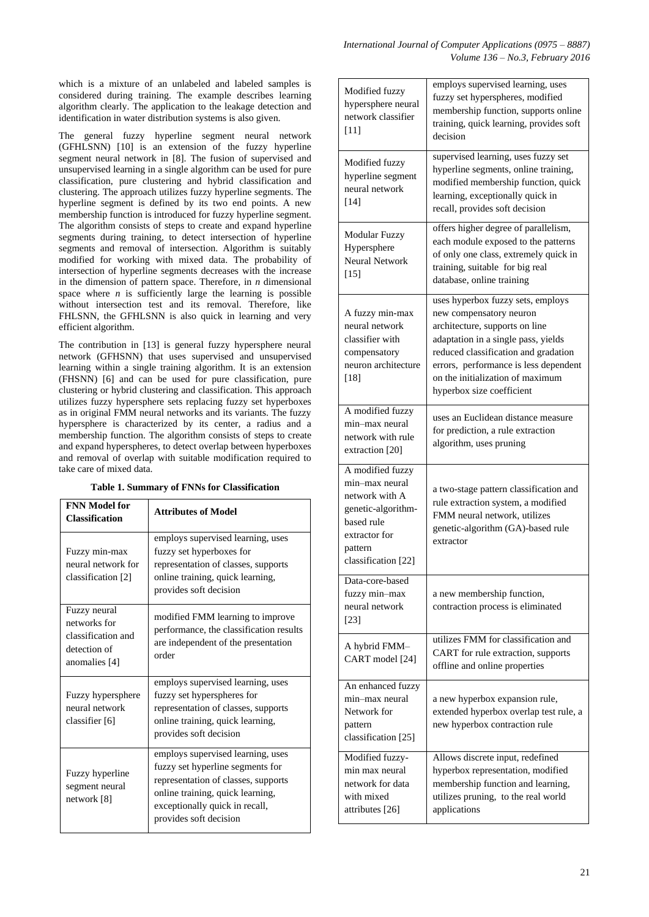which is a mixture of an unlabeled and labeled samples is considered during training. The example describes learning algorithm clearly. The application to the leakage detection and identification in water distribution systems is also given.

The general fuzzy hyperline segment neural network (GFHLSNN) [10] is an extension of the fuzzy hyperline segment neural network in [8]. The fusion of supervised and unsupervised learning in a single algorithm can be used for pure classification, pure clustering and hybrid classification and clustering. The approach utilizes fuzzy hyperline segments. The hyperline segment is defined by its two end points. A new membership function is introduced for fuzzy hyperline segment. The algorithm consists of steps to create and expand hyperline segments during training, to detect intersection of hyperline segments and removal of intersection. Algorithm is suitably modified for working with mixed data. The probability of intersection of hyperline segments decreases with the increase in the dimension of pattern space. Therefore, in *n* dimensional space where  $n$  is sufficiently large the learning is possible without intersection test and its removal. Therefore, like FHLSNN, the GFHLSNN is also quick in learning and very efficient algorithm.

The contribution in [13] is general fuzzy hypersphere neural network (GFHSNN) that uses supervised and unsupervised learning within a single training algorithm. It is an extension (FHSNN) [6] and can be used for pure classification, pure clustering or hybrid clustering and classification. This approach utilizes fuzzy hypersphere sets replacing fuzzy set hyperboxes as in original FMM neural networks and its variants. The fuzzy hypersphere is characterized by its center, a radius and a membership function. The algorithm consists of steps to create and expand hyperspheres, to detect overlap between hyperboxes and removal of overlap with suitable modification required to take care of mixed data.

| Table 1. Summary of FNNs for Classification |  |  |
|---------------------------------------------|--|--|
|---------------------------------------------|--|--|

| <b>FNN Model for</b><br><b>Classification</b>                                       | <b>Attributes of Model</b>                                                                                                                                                                                   |
|-------------------------------------------------------------------------------------|--------------------------------------------------------------------------------------------------------------------------------------------------------------------------------------------------------------|
| Fuzzy min-max<br>neural network for<br>classification [2]                           | employs supervised learning, uses<br>fuzzy set hyperboxes for<br>representation of classes, supports<br>online training, quick learning,<br>provides soft decision                                           |
| Fuzzy neural<br>networks for<br>classification and<br>detection of<br>anomalies [4] | modified FMM learning to improve<br>performance, the classification results<br>are independent of the presentation<br>order                                                                                  |
| Fuzzy hypersphere<br>neural network<br>classifier [6]                               | employs supervised learning, uses<br>fuzzy set hyperspheres for<br>representation of classes, supports<br>online training, quick learning,<br>provides soft decision                                         |
| Fuzzy hyperline<br>segment neural<br>network [8]                                    | employs supervised learning, uses<br>fuzzy set hyperline segments for<br>representation of classes, supports<br>online training, quick learning,<br>exceptionally quick in recall,<br>provides soft decision |

| Modified fuzzy<br>hypersphere neural<br>network classifier<br>[11]                                                                          | employs supervised learning, uses<br>fuzzy set hyperspheres, modified<br>membership function, supports online<br>training, quick learning, provides soft<br>decision                                                                                                                    |
|---------------------------------------------------------------------------------------------------------------------------------------------|-----------------------------------------------------------------------------------------------------------------------------------------------------------------------------------------------------------------------------------------------------------------------------------------|
| Modified fuzzy<br>hyperline segment<br>neural network<br>$[14]$                                                                             | supervised learning, uses fuzzy set<br>hyperline segments, online training,<br>modified membership function, quick<br>learning, exceptionally quick in<br>recall, provides soft decision                                                                                                |
| <b>Modular Fuzzy</b><br>Hypersphere<br><b>Neural Network</b><br>$[15]$                                                                      | offers higher degree of parallelism,<br>each module exposed to the patterns<br>of only one class, extremely quick in<br>training, suitable for big real<br>database, online training                                                                                                    |
| A fuzzy min-max<br>neural network<br>classifier with<br>compensatory<br>neuron architecture<br>[18]                                         | uses hyperbox fuzzy sets, employs<br>new compensatory neuron<br>architecture, supports on line<br>adaptation in a single pass, yields<br>reduced classification and gradation<br>errors, performance is less dependent<br>on the initialization of maximum<br>hyperbox size coefficient |
| A modified fuzzy<br>min-max neural<br>network with rule<br>extraction [20]                                                                  | uses an Euclidean distance measure<br>for prediction, a rule extraction<br>algorithm, uses pruning                                                                                                                                                                                      |
| A modified fuzzy<br>min-max neural<br>network with A<br>genetic-algorithm-<br>based rule<br>extractor for<br>pattern<br>classification [22] | a two-stage pattern classification and<br>rule extraction system, a modified<br>FMM neural network, utilizes<br>genetic-algorithm (GA)-based rule<br>extractor                                                                                                                          |
| Data-core-based<br>fuzzy min-max<br>neural network<br>[23]                                                                                  | a new membership function,<br>contraction process is eliminated                                                                                                                                                                                                                         |
| A hybrid FMM-<br>CART model [24]                                                                                                            | utilizes FMM for classification and<br>CART for rule extraction, supports<br>offline and online properties                                                                                                                                                                              |
| An enhanced fuzzy<br>min-max neural<br>Network for<br>pattern<br>classification [25]                                                        | a new hyperbox expansion rule,<br>extended hyperbox overlap test rule, a<br>new hyperbox contraction rule                                                                                                                                                                               |
| Modified fuzzy-<br>min max neural<br>network for data<br>with mixed<br>attributes [26]                                                      | Allows discrete input, redefined<br>hyperbox representation, modified<br>membership function and learning,<br>utilizes pruning, to the real world<br>applications                                                                                                                       |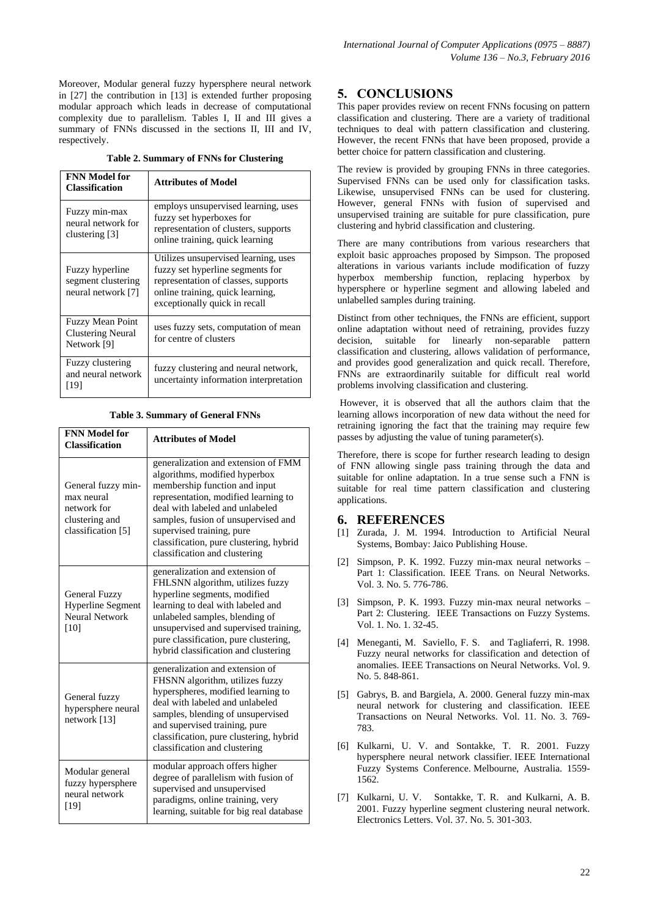Moreover, Modular general fuzzy hypersphere neural network in [27] the contribution in [13] is extended further proposing modular approach which leads in decrease of computational complexity due to parallelism. Tables I, II and III gives a summary of FNNs discussed in the sections II, III and IV, respectively.

**Table 2. Summary of FNNs for Clustering**

| <b>FNN Model for</b><br><b>Classification</b>                      | <b>Attributes of Model</b>                                                                                                                                                           |
|--------------------------------------------------------------------|--------------------------------------------------------------------------------------------------------------------------------------------------------------------------------------|
| Fuzzy min-max<br>neural network for<br>clustering [3]              | employs unsupervised learning, uses<br>fuzzy set hyperboxes for<br>representation of clusters, supports<br>online training, quick learning                                           |
| Fuzzy hyperline<br>segment clustering<br>neural network [7]        | Utilizes unsupervised learning, uses<br>fuzzy set hyperline segments for<br>representation of classes, supports<br>online training, quick learning,<br>exceptionally quick in recall |
| <b>Fuzzy Mean Point</b><br><b>Clustering Neural</b><br>Network [9] | uses fuzzy sets, computation of mean<br>for centre of clusters                                                                                                                       |
| Fuzzy clustering<br>and neural network<br>[19]                     | fuzzy clustering and neural network,<br>uncertainty information interpretation                                                                                                       |

#### **Table 3. Summary of General FNNs**

| <b>FNN Model for</b><br><b>Classification</b>                                           | <b>Attributes of Model</b>                                                                                                                                                                                                                                                                                                       |
|-----------------------------------------------------------------------------------------|----------------------------------------------------------------------------------------------------------------------------------------------------------------------------------------------------------------------------------------------------------------------------------------------------------------------------------|
| General fuzzy min-<br>max neural<br>network for<br>clustering and<br>classification [5] | generalization and extension of FMM<br>algorithms, modified hyperbox<br>membership function and input<br>representation, modified learning to<br>deal with labeled and unlabeled<br>samples, fusion of unsupervised and<br>supervised training, pure<br>classification, pure clustering, hybrid<br>classification and clustering |
| <b>General Fuzzy</b><br><b>Hyperline Segment</b><br><b>Neural Network</b><br>[10]       | generalization and extension of<br>FHLSNN algorithm, utilizes fuzzy<br>hyperline segments, modified<br>learning to deal with labeled and<br>unlabeled samples, blending of<br>unsupervised and supervised training,<br>pure classification, pure clustering,<br>hybrid classification and clustering                             |
| General fuzzy<br>hypersphere neural<br>network $[13]$                                   | generalization and extension of<br>FHSNN algorithm, utilizes fuzzy<br>hyperspheres, modified learning to<br>deal with labeled and unlabeled<br>samples, blending of unsupervised<br>and supervised training, pure<br>classification, pure clustering, hybrid<br>classification and clustering                                    |
| Modular general<br>fuzzy hypersphere<br>neural network<br>[19]                          | modular approach offers higher<br>degree of parallelism with fusion of<br>supervised and unsupervised<br>paradigms, online training, very<br>learning, suitable for big real database                                                                                                                                            |

# **5. CONCLUSIONS**

This paper provides review on recent FNNs focusing on pattern classification and clustering. There are a variety of traditional techniques to deal with pattern classification and clustering. However, the recent FNNs that have been proposed, provide a better choice for pattern classification and clustering.

The review is provided by grouping FNNs in three categories. Supervised FNNs can be used only for classification tasks. Likewise, unsupervised FNNs can be used for clustering. However, general FNNs with fusion of supervised and unsupervised training are suitable for pure classification, pure clustering and hybrid classification and clustering.

There are many contributions from various researchers that exploit basic approaches proposed by Simpson. The proposed alterations in various variants include modification of fuzzy hyperbox membership function, replacing hyperbox by hypersphere or hyperline segment and allowing labeled and unlabelled samples during training.

Distinct from other techniques, the FNNs are efficient, support online adaptation without need of retraining, provides fuzzy decision, suitable for linearly non-separable pattern classification and clustering, allows validation of performance, and provides good generalization and quick recall. Therefore, FNNs are extraordinarily suitable for difficult real world problems involving classification and clustering.

However, it is observed that all the authors claim that the learning allows incorporation of new data without the need for retraining ignoring the fact that the training may require few passes by adjusting the value of tuning parameter(s).

Therefore, there is scope for further research leading to design of FNN allowing single pass training through the data and suitable for online adaptation. In a true sense such a FNN is suitable for real time pattern classification and clustering applications.

#### **6. REFERENCES**

- [1] Zurada, J. M. 1994. Introduction to Artificial Neural Systems, Bombay: Jaico Publishing House.
- [2] Simpson, P. K. 1992. Fuzzy min-max neural networks Part 1: Classification. IEEE Trans. on Neural Networks. Vol. 3. No. 5. 776-786.
- [3] Simpson, P. K. 1993. Fuzzy min-max neural networks Part 2: Clustering. IEEE Transactions on Fuzzy Systems. Vol. 1. No. 1. 32-45.
- [4] Meneganti, M. Saviello, F. S. and Tagliaferri, R. 1998. Fuzzy neural networks for classification and detection of anomalies. IEEE Transactions on Neural Networks. Vol. 9. No. 5. 848-861.
- [5] Gabrys, B. and Bargiela, A. 2000. General fuzzy min-max neural network for clustering and classification. IEEE Transactions on Neural Networks. Vol. 11. No. 3. 769- 783.
- [6] Kulkarni, U. V. and Sontakke, T. R. 2001. Fuzzy hypersphere neural network classifier. IEEE International Fuzzy Systems Conference. Melbourne, Australia. 1559- 1562.
- [7] Kulkarni, U. V. Sontakke, T. R. and Kulkarni, A. B. 2001. Fuzzy hyperline segment clustering neural network. Electronics Letters. Vol. 37. No. 5. 301-303.